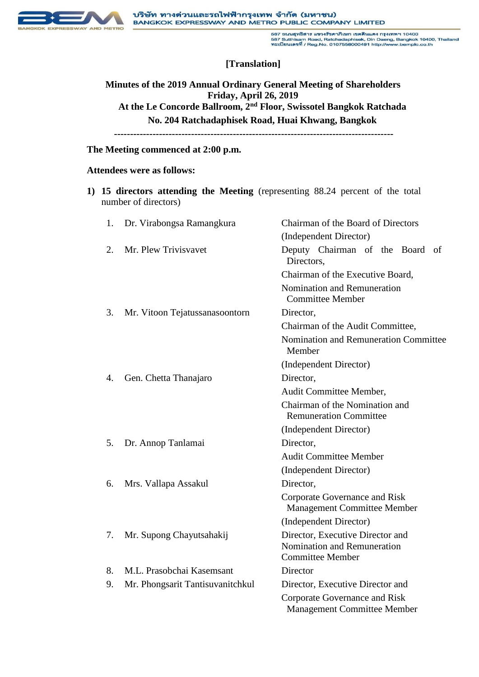

587 ถนนสูทธิสาร แขวงรัชดาภิเษก เขตดีนแดง กรุงเทพฯ 10400<br>587 Sutthisam Road, Ratchadaphisek, Din Daeng, Bangkok 10400, Thailand<br>ทะเบียนเลขที่ / Reg.No. 0107558000491 http://www.bemplo.co.th

# **[Translation]**

**Minutes of the 2019 Annual Ordinary General Meeting of Shareholders Friday, April 26, 2019 At the Le Concorde Ballroom, 2nd Floor, Swissotel Bangkok Ratchada No. 204 Ratchadaphisek Road, Huai Khwang, Bangkok ---------------------------------------------------------------------------------------**

#### **The Meeting commenced at 2:00 p.m.**

#### **Attendees were as follows:**

**1) 15 directors attending the Meeting** (representing 88.24 percent of the total number of directors)

| 1. | Dr. Virabongsa Ramangkura        | Chairman of the Board of Directors                                                         |
|----|----------------------------------|--------------------------------------------------------------------------------------------|
|    |                                  | (Independent Director)                                                                     |
| 2. | Mr. Plew Trivisvavet             | Deputy Chairman of the Board of<br>Directors,                                              |
|    |                                  | Chairman of the Executive Board,                                                           |
|    |                                  | Nomination and Remuneration<br><b>Committee Member</b>                                     |
| 3. | Mr. Vitoon Tejatussanasoontorn   | Director,                                                                                  |
|    |                                  | Chairman of the Audit Committee,                                                           |
|    |                                  | Nomination and Remuneration Committee<br>Member                                            |
|    |                                  | (Independent Director)                                                                     |
| 4. | Gen. Chetta Thanajaro            | Director,                                                                                  |
|    |                                  | Audit Committee Member,                                                                    |
|    |                                  | Chairman of the Nomination and<br><b>Remuneration Committee</b>                            |
|    |                                  | (Independent Director)                                                                     |
| 5. | Dr. Annop Tanlamai               | Director,                                                                                  |
|    |                                  | <b>Audit Committee Member</b>                                                              |
|    |                                  | (Independent Director)                                                                     |
| 6. | Mrs. Vallapa Assakul             | Director,                                                                                  |
|    |                                  | Corporate Governance and Risk<br><b>Management Committee Member</b>                        |
|    |                                  | (Independent Director)                                                                     |
| 7. | Mr. Supong Chayutsahakij         | Director, Executive Director and<br>Nomination and Remuneration<br><b>Committee Member</b> |
| 8. | M.L. Prasobchai Kasemsant        | Director                                                                                   |
| 9. | Mr. Phongsarit Tantisuvanitchkul | Director, Executive Director and                                                           |
|    |                                  | Corporate Governance and Risk<br><b>Management Committee Member</b>                        |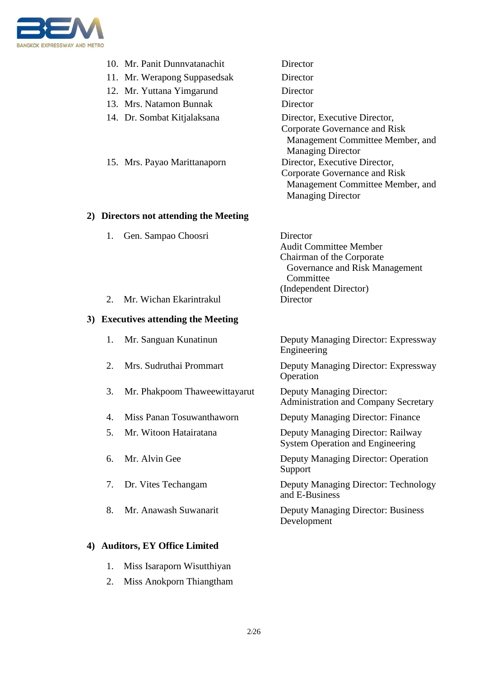

|                                        | 10. Mr. Panit Dunnvatanachit                                | Director                                                                                                                                                                                                                             |  |
|----------------------------------------|-------------------------------------------------------------|--------------------------------------------------------------------------------------------------------------------------------------------------------------------------------------------------------------------------------------|--|
|                                        | 11. Mr. Werapong Suppasedsak                                | Director                                                                                                                                                                                                                             |  |
|                                        | 12. Mr. Yuttana Yimgarund                                   | Director                                                                                                                                                                                                                             |  |
|                                        | 13. Mrs. Natamon Bunnak                                     | Director                                                                                                                                                                                                                             |  |
|                                        | 14. Dr. Sombat Kitjalaksana<br>15. Mrs. Payao Marittanaporn | Director, Executive Director,<br>Corporate Governance and Risk<br>Management Committee Member, and<br><b>Managing Director</b><br>Director, Executive Director,<br>Corporate Governance and Risk<br>Management Committee Member, and |  |
|                                        |                                                             | <b>Managing Director</b>                                                                                                                                                                                                             |  |
| 2) Directors not attending the Meeting |                                                             |                                                                                                                                                                                                                                      |  |
| 1.                                     | Gen. Sampao Choosri                                         | Director<br><b>Audit Committee Member</b><br>Chairman of the Corporate<br>Governance and Risk Management<br>Committee<br>(Independent Director)                                                                                      |  |
| 2.                                     | Mr. Wichan Ekarintrakul                                     | Director                                                                                                                                                                                                                             |  |
| 3) Executives attending the Meeting    |                                                             |                                                                                                                                                                                                                                      |  |
| 1.                                     | Mr. Sanguan Kunatinun                                       | Deputy Managing Director: Expressway<br>Engineering                                                                                                                                                                                  |  |
| 2.                                     | Mrs. Sudruthai Prommart                                     | Deputy Managing Director: Expressway<br>Operation                                                                                                                                                                                    |  |
| 3.                                     | Mr. Phakpoom Thaweewittayarut                               | <b>Deputy Managing Director:</b><br><b>Administration and Company Secretary</b>                                                                                                                                                      |  |
| 4.                                     | Miss Panan Tosuwanthaworn                                   | Deputy Managing Director: Finance                                                                                                                                                                                                    |  |
| 5.                                     | Mr. Witoon Hatairatana                                      | Deputy Managing Director: Railway<br><b>System Operation and Engineering</b>                                                                                                                                                         |  |
| 6.                                     | Mr. Alvin Gee                                               | Deputy Managing Director: Operation<br>Support                                                                                                                                                                                       |  |
| 7.                                     | Dr. Vites Techangam                                         | Deputy Managing Director: Technology<br>and E-Business                                                                                                                                                                               |  |
| 8.                                     | Mr. Anawash Suwanarit                                       | <b>Deputy Managing Director: Business</b><br>Development                                                                                                                                                                             |  |
| 4) Auditors, EY Office Limited         |                                                             |                                                                                                                                                                                                                                      |  |

- 1. Miss Isaraporn Wisutthiyan
- 2. Miss Anokporn Thiangtham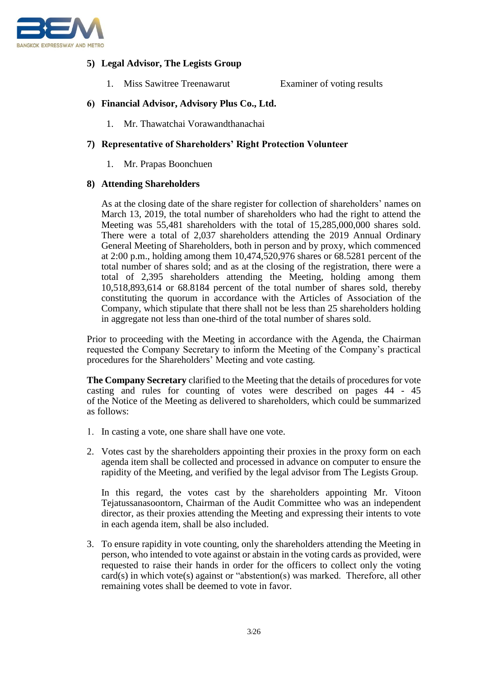

## **5) Legal Advisor, The Legists Group**

1. Miss Sawitree Treenawarut Examiner of voting results

## **6) Financial Advisor, Advisory Plus Co., Ltd.**

1. Mr. Thawatchai Vorawandthanachai

## **7) Representative of Shareholders' Right Protection Volunteer**

1. Mr. Prapas Boonchuen

## **8) Attending Shareholders**

As at the closing date of the share register for collection of shareholders' names on March 13, 2019, the total number of shareholders who had the right to attend the Meeting was 55,481 shareholders with the total of 15,285,000,000 shares sold. There were a total of 2,037 shareholders attending the 2019 Annual Ordinary General Meeting of Shareholders, both in person and by proxy, which commenced at 2:00 p.m., holding among them 10,474,520,976 shares or 68.5281 percent of the total number of shares sold; and as at the closing of the registration, there were a total of 2,395 shareholders attending the Meeting, holding among them 10,518,893,614 or 68.8184 percent of the total number of shares sold, thereby constituting the quorum in accordance with the Articles of Association of the Company, which stipulate that there shall not be less than 25 shareholders holding in aggregate not less than one-third of the total number of shares sold.

Prior to proceeding with the Meeting in accordance with the Agenda, the Chairman requested the Company Secretary to inform the Meeting of the Company's practical procedures for the Shareholders' Meeting and vote casting.

**The Company Secretary** clarified to the Meeting that the details of procedures for vote casting and rules for counting of votes were described on pages 44 - 45 of the Notice of the Meeting as delivered to shareholders, which could be summarized as follows:

- 1. In casting a vote, one share shall have one vote.
- 2. Votes cast by the shareholders appointing their proxies in the proxy form on each agenda item shall be collected and processed in advance on computer to ensure the rapidity of the Meeting, and verified by the legal advisor from The Legists Group.

In this regard, the votes cast by the shareholders appointing Mr. Vitoon Tejatussanasoontorn, Chairman of the Audit Committee who was an independent director, as their proxies attending the Meeting and expressing their intents to vote in each agenda item, shall be also included.

3. To ensure rapidity in vote counting, only the shareholders attending the Meeting in person, who intended to vote against or abstain in the voting cards as provided, were requested to raise their hands in order for the officers to collect only the voting card(s) in which vote(s) against or "abstention(s) was marked. Therefore, all other remaining votes shall be deemed to vote in favor.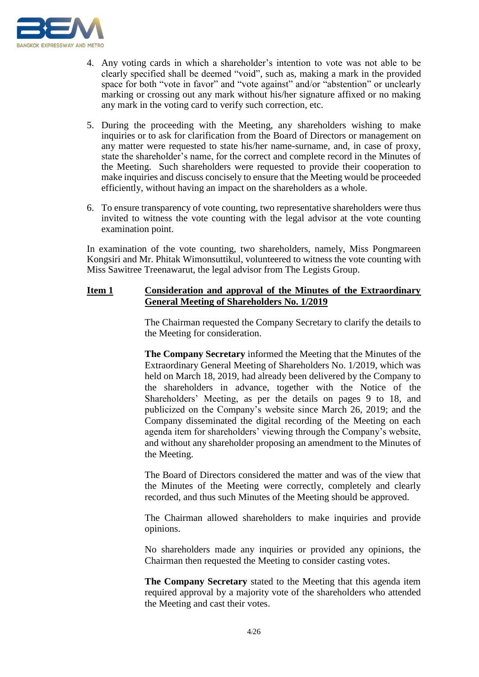

- 4. Any voting cards in which a shareholder's intention to vote was not able to be clearly specified shall be deemed "void", such as, making a mark in the provided space for both "vote in favor" and "vote against" and/or "abstention" or unclearly marking or crossing out any mark without his/her signature affixed or no making any mark in the voting card to verify such correction, etc.
- 5. During the proceeding with the Meeting, any shareholders wishing to make inquiries or to ask for clarification from the Board of Directors or management on any matter were requested to state his/her name-surname, and, in case of proxy, state the shareholder's name, for the correct and complete record in the Minutes of the Meeting. Such shareholders were requested to provide their cooperation to make inquiries and discuss concisely to ensure that the Meeting would be proceeded efficiently, without having an impact on the shareholders as a whole.
- 6. To ensure transparency of vote counting, two representative shareholders were thus invited to witness the vote counting with the legal advisor at the vote counting examination point.

In examination of the vote counting, two shareholders, namely, Miss Pongmareen Kongsiri and Mr. Phitak Wimonsuttikul, volunteered to witness the vote counting with Miss Sawitree Treenawarut, the legal advisor from The Legists Group.

## **Item 1 Consideration and approval of the Minutes of the Extraordinary General Meeting of Shareholders No. 1/2019**

The Chairman requested the Company Secretary to clarify the details to the Meeting for consideration.

**The Company Secretary** informed the Meeting that the Minutes of the Extraordinary General Meeting of Shareholders No. 1/2019, which was held on March 18, 2019, had already been delivered by the Company to the shareholders in advance, together with the Notice of the Shareholders' Meeting, as per the details on pages 9 to 18, and publicized on the Company's website since March 26, 2019; and the Company disseminated the digital recording of the Meeting on each agenda item for shareholders' viewing through the Company's website, and without any shareholder proposing an amendment to the Minutes of the Meeting.

The Board of Directors considered the matter and was of the view that the Minutes of the Meeting were correctly, completely and clearly recorded, and thus such Minutes of the Meeting should be approved.

The Chairman allowed shareholders to make inquiries and provide opinions.

No shareholders made any inquiries or provided any opinions, the Chairman then requested the Meeting to consider casting votes.

**The Company Secretary** stated to the Meeting that this agenda item required approval by a majority vote of the shareholders who attended the Meeting and cast their votes.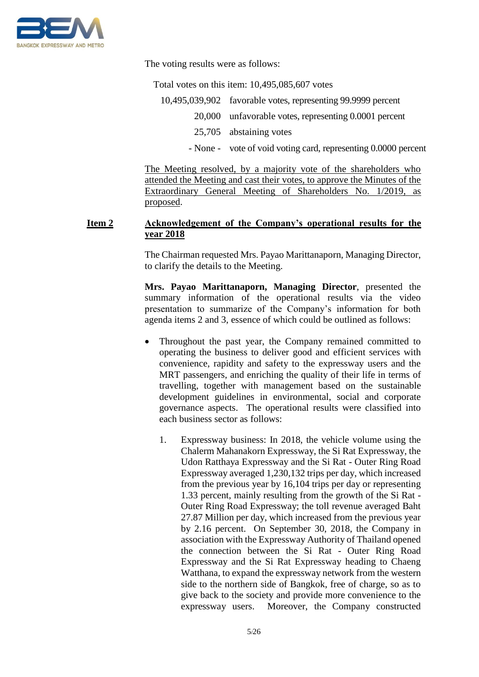

The voting results were as follows:

Total votes on this item: 10,495,085,607 votes

10,495,039,902 favorable votes, representing 99.9999 percent 20,000 unfavorable votes, representing 0.0001 percent 25,705 abstaining votes

- None - vote of void voting card, representing 0.0000 percent

The Meeting resolved, by a majority vote of the shareholders who attended the Meeting and cast their votes, to approve the Minutes of the Extraordinary General Meeting of Shareholders No. 1/2019, as proposed.

## **Item 2 Acknowledgement of the Company's operational results for the year 2018**

The Chairman requested Mrs. Payao Marittanaporn, Managing Director, to clarify the details to the Meeting.

**Mrs. Payao Marittanaporn, Managing Director**, presented the summary information of the operational results via the video presentation to summarize of the Company's information for both agenda items 2 and 3, essence of which could be outlined as follows:

- Throughout the past year, the Company remained committed to operating the business to deliver good and efficient services with convenience, rapidity and safety to the expressway users and the MRT passengers, and enriching the quality of their life in terms of travelling, together with management based on the sustainable development guidelines in environmental, social and corporate governance aspects. The operational results were classified into each business sector as follows:
	- 1. Expressway business: In 2018, the vehicle volume using the Chalerm Mahanakorn Expressway, the Si Rat Expressway, the Udon Ratthaya Expressway and the Si Rat - Outer Ring Road Expressway averaged 1,230,132 trips per day, which increased from the previous year by 16,104 trips per day or representing 1.33 percent, mainly resulting from the growth of the Si Rat - Outer Ring Road Expressway; the toll revenue averaged Baht 27.87 Million per day, which increased from the previous year by 2.16 percent. On September 30, 2018, the Company in association with the Expressway Authority of Thailand opened the connection between the Si Rat - Outer Ring Road Expressway and the Si Rat Expressway heading to Chaeng Watthana, to expand the expressway network from the western side to the northern side of Bangkok, free of charge, so as to give back to the society and provide more convenience to the expressway users. Moreover, the Company constructed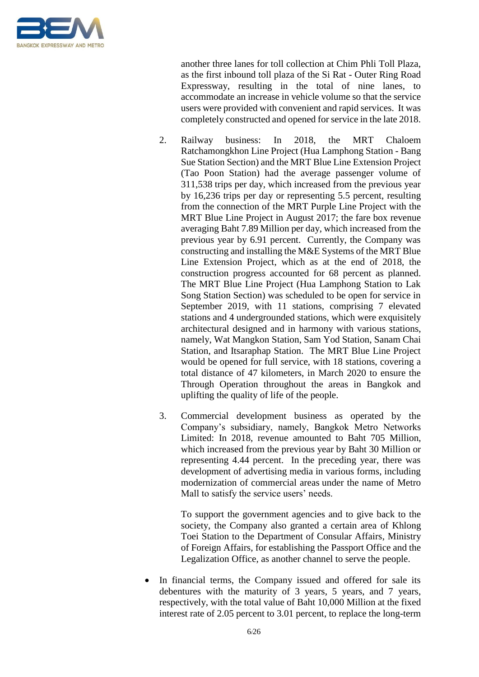

another three lanes for toll collection at Chim Phli Toll Plaza, as the first inbound toll plaza of the Si Rat - Outer Ring Road Expressway, resulting in the total of nine lanes, to accommodate an increase in vehicle volume so that the service users were provided with convenient and rapid services. It was completely constructed and opened for service in the late 2018.

- 2. Railway business: In 2018, the MRT Chaloem Ratchamongkhon Line Project (Hua Lamphong Station - Bang Sue Station Section) and the MRT Blue Line Extension Project (Tao Poon Station) had the average passenger volume of 311,538 trips per day, which increased from the previous year by 16,236 trips per day or representing 5.5 percent, resulting from the connection of the MRT Purple Line Project with the MRT Blue Line Project in August 2017; the fare box revenue averaging Baht 7.89 Million per day, which increased from the previous year by 6.91 percent. Currently, the Company was constructing and installing the M&E Systems of the MRT Blue Line Extension Project, which as at the end of 2018, the construction progress accounted for 68 percent as planned. The MRT Blue Line Project (Hua Lamphong Station to Lak Song Station Section) was scheduled to be open for service in September 2019, with 11 stations, comprising 7 elevated stations and 4 undergrounded stations, which were exquisitely architectural designed and in harmony with various stations, namely, Wat Mangkon Station, Sam Yod Station, Sanam Chai Station, and Itsaraphap Station. The MRT Blue Line Project would be opened for full service, with 18 stations, covering a total distance of 47 kilometers, in March 2020 to ensure the Through Operation throughout the areas in Bangkok and uplifting the quality of life of the people.
- 3. Commercial development business as operated by the Company's subsidiary, namely, Bangkok Metro Networks Limited: In 2018, revenue amounted to Baht 705 Million, which increased from the previous year by Baht 30 Million or representing 4.44 percent. In the preceding year, there was development of advertising media in various forms, including modernization of commercial areas under the name of Metro Mall to satisfy the service users' needs.

To support the government agencies and to give back to the society, the Company also granted a certain area of Khlong Toei Station to the Department of Consular Affairs, Ministry of Foreign Affairs, for establishing the Passport Office and the Legalization Office, as another channel to serve the people.

In financial terms, the Company issued and offered for sale its debentures with the maturity of 3 years, 5 years, and 7 years, respectively, with the total value of Baht 10,000 Million at the fixed interest rate of 2.05 percent to 3.01 percent, to replace the long-term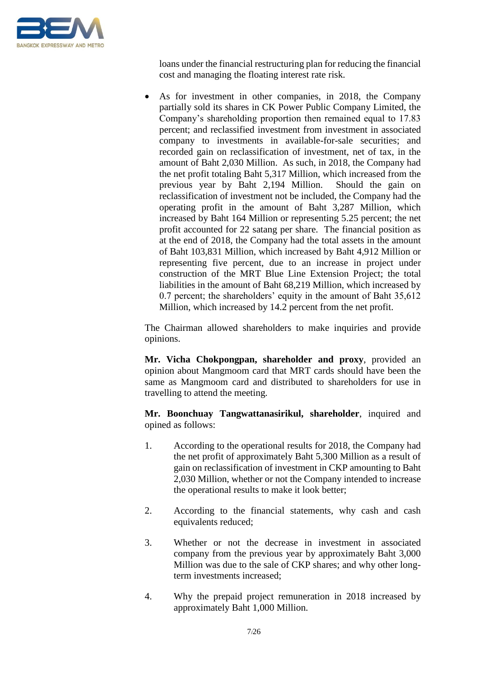

loans under the financial restructuring plan for reducing the financial cost and managing the floating interest rate risk.

• As for investment in other companies, in 2018, the Company partially sold its shares in CK Power Public Company Limited, the Company's shareholding proportion then remained equal to 17.83 percent; and reclassified investment from investment in associated company to investments in available-for-sale securities; and recorded gain on reclassification of investment, net of tax, in the amount of Baht 2,030 Million. As such, in 2018, the Company had the net profit totaling Baht 5,317 Million, which increased from the previous year by Baht 2,194 Million. Should the gain on reclassification of investment not be included, the Company had the operating profit in the amount of Baht 3,287 Million, which increased by Baht 164 Million or representing 5.25 percent; the net profit accounted for 22 satang per share. The financial position as at the end of 2018, the Company had the total assets in the amount of Baht 103,831 Million, which increased by Baht 4,912 Million or representing five percent, due to an increase in project under construction of the MRT Blue Line Extension Project; the total liabilities in the amount of Baht 68,219 Million, which increased by 0.7 percent; the shareholders' equity in the amount of Baht 35,612 Million, which increased by 14.2 percent from the net profit.

The Chairman allowed shareholders to make inquiries and provide opinions.

**Mr. Vicha Chokpongpan, shareholder and proxy**, provided an opinion about Mangmoom card that MRT cards should have been the same as Mangmoom card and distributed to shareholders for use in travelling to attend the meeting.

**Mr. Boonchuay Tangwattanasirikul, shareholder**, inquired and opined as follows:

- 1. According to the operational results for 2018, the Company had the net profit of approximately Baht 5,300 Million as a result of gain on reclassification of investment in CKP amounting to Baht 2,030 Million, whether or not the Company intended to increase the operational results to make it look better;
- 2. According to the financial statements, why cash and cash equivalents reduced;
- 3. Whether or not the decrease in investment in associated company from the previous year by approximately Baht 3,000 Million was due to the sale of CKP shares; and why other longterm investments increased;
- 4. Why the prepaid project remuneration in 2018 increased by approximately Baht 1,000 Million.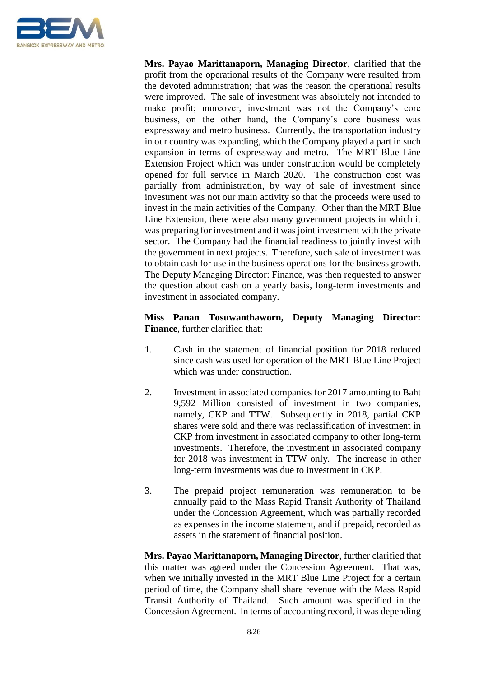

**Mrs. Payao Marittanaporn, Managing Director**, clarified that the profit from the operational results of the Company were resulted from the devoted administration; that was the reason the operational results were improved. The sale of investment was absolutely not intended to make profit; moreover, investment was not the Company's core business, on the other hand, the Company's core business was expressway and metro business. Currently, the transportation industry in our country was expanding, which the Company played a part in such expansion in terms of expressway and metro. The MRT Blue Line Extension Project which was under construction would be completely opened for full service in March 2020. The construction cost was partially from administration, by way of sale of investment since investment was not our main activity so that the proceeds were used to invest in the main activities of the Company. Other than the MRT Blue Line Extension, there were also many government projects in which it was preparing for investment and it was joint investment with the private sector. The Company had the financial readiness to jointly invest with the government in next projects. Therefore, such sale of investment was to obtain cash for use in the business operations for the business growth. The Deputy Managing Director: Finance, was then requested to answer the question about cash on a yearly basis, long-term investments and investment in associated company.

## **Miss Panan Tosuwanthaworn, Deputy Managing Director: Finance**, further clarified that:

- 1. Cash in the statement of financial position for 2018 reduced since cash was used for operation of the MRT Blue Line Project which was under construction.
- 2. Investment in associated companies for 2017 amounting to Baht 9,592 Million consisted of investment in two companies, namely, CKP and TTW. Subsequently in 2018, partial CKP shares were sold and there was reclassification of investment in CKP from investment in associated company to other long-term investments. Therefore, the investment in associated company for 2018 was investment in TTW only. The increase in other long-term investments was due to investment in CKP.
- 3. The prepaid project remuneration was remuneration to be annually paid to the Mass Rapid Transit Authority of Thailand under the Concession Agreement, which was partially recorded as expenses in the income statement, and if prepaid, recorded as assets in the statement of financial position.

**Mrs. Payao Marittanaporn, Managing Director**, further clarified that this matter was agreed under the Concession Agreement. That was, when we initially invested in the MRT Blue Line Project for a certain period of time, the Company shall share revenue with the Mass Rapid Transit Authority of Thailand. Such amount was specified in the Concession Agreement. In terms of accounting record, it was depending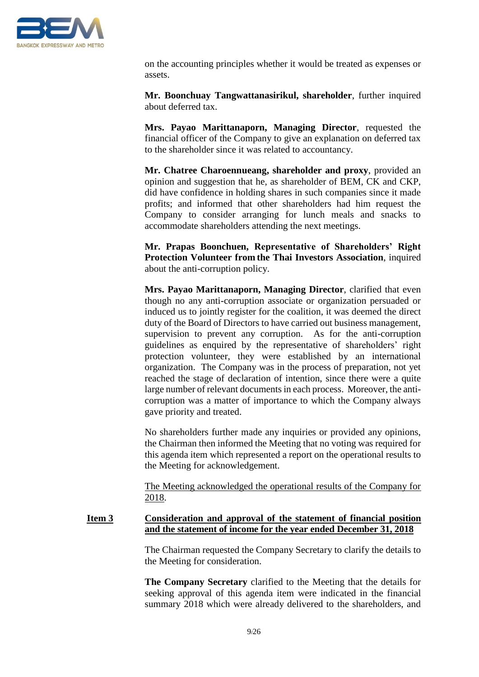

on the accounting principles whether it would be treated as expenses or assets.

**Mr. Boonchuay Tangwattanasirikul, shareholder**, further inquired about deferred tax.

**Mrs. Payao Marittanaporn, Managing Director**, requested the financial officer of the Company to give an explanation on deferred tax to the shareholder since it was related to accountancy.

**Mr. Chatree Charoennueang, shareholder and proxy**, provided an opinion and suggestion that he, as shareholder of BEM, CK and CKP, did have confidence in holding shares in such companies since it made profits; and informed that other shareholders had him request the Company to consider arranging for lunch meals and snacks to accommodate shareholders attending the next meetings.

**Mr. Prapas Boonchuen, Representative of Shareholders' Right Protection Volunteer from the Thai Investors Association**, inquired about the anti-corruption policy.

**Mrs. Payao Marittanaporn, Managing Director**, clarified that even though no any anti-corruption associate or organization persuaded or induced us to jointly register for the coalition, it was deemed the direct duty of the Board of Directors to have carried out business management, supervision to prevent any corruption. As for the anti-corruption guidelines as enquired by the representative of shareholders' right protection volunteer, they were established by an international organization. The Company was in the process of preparation, not yet reached the stage of declaration of intention, since there were a quite large number of relevant documents in each process. Moreover, the anticorruption was a matter of importance to which the Company always gave priority and treated.

No shareholders further made any inquiries or provided any opinions, the Chairman then informed the Meeting that no voting was required for this agenda item which represented a report on the operational results to the Meeting for acknowledgement.

The Meeting acknowledged the operational results of the Company for 2018.

#### **Item 3 Consideration and approval of the statement of financial position and the statement of income for the year ended December 31, 2018**

The Chairman requested the Company Secretary to clarify the details to the Meeting for consideration.

**The Company Secretary** clarified to the Meeting that the details for seeking approval of this agenda item were indicated in the financial summary 2018 which were already delivered to the shareholders, and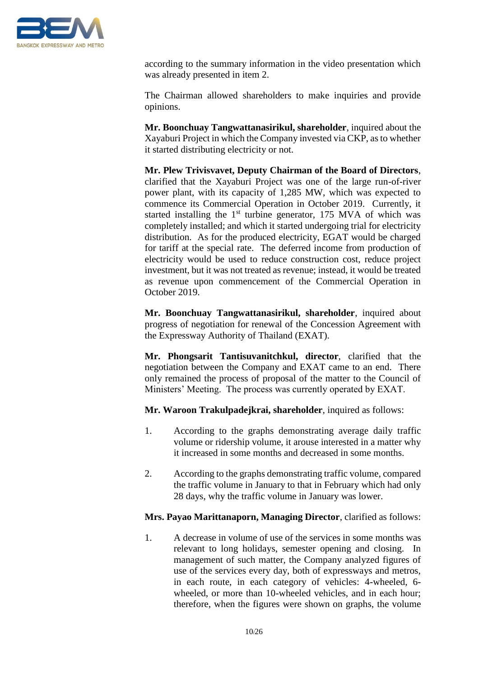

according to the summary information in the video presentation which was already presented in item 2.

The Chairman allowed shareholders to make inquiries and provide opinions.

**Mr. Boonchuay Tangwattanasirikul, shareholder**, inquired about the Xayaburi Project in which the Company invested via CKP, as to whether it started distributing electricity or not.

**Mr. Plew Trivisvavet, Deputy Chairman of the Board of Directors**, clarified that the Xayaburi Project was one of the large run-of-river power plant, with its capacity of 1,285 MW, which was expected to commence its Commercial Operation in October 2019. Currently, it started installing the  $1<sup>st</sup>$  turbine generator, 175 MVA of which was completely installed; and which it started undergoing trial for electricity distribution. As for the produced electricity, EGAT would be charged for tariff at the special rate. The deferred income from production of electricity would be used to reduce construction cost, reduce project investment, but it was not treated as revenue; instead, it would be treated as revenue upon commencement of the Commercial Operation in October 2019.

**Mr. Boonchuay Tangwattanasirikul, shareholder**, inquired about progress of negotiation for renewal of the Concession Agreement with the Expressway Authority of Thailand (EXAT).

**Mr. Phongsarit Tantisuvanitchkul, director**, clarified that the negotiation between the Company and EXAT came to an end. There only remained the process of proposal of the matter to the Council of Ministers' Meeting. The process was currently operated by EXAT.

**Mr. Waroon Trakulpadejkrai, shareholder**, inquired as follows:

- 1. According to the graphs demonstrating average daily traffic volume or ridership volume, it arouse interested in a matter why it increased in some months and decreased in some months.
- 2. According to the graphs demonstrating traffic volume, compared the traffic volume in January to that in February which had only 28 days, why the traffic volume in January was lower.

## **Mrs. Payao Marittanaporn, Managing Director**, clarified as follows:

1. A decrease in volume of use of the services in some months was relevant to long holidays, semester opening and closing. In management of such matter, the Company analyzed figures of use of the services every day, both of expressways and metros, in each route, in each category of vehicles: 4-wheeled, 6 wheeled, or more than 10-wheeled vehicles, and in each hour; therefore, when the figures were shown on graphs, the volume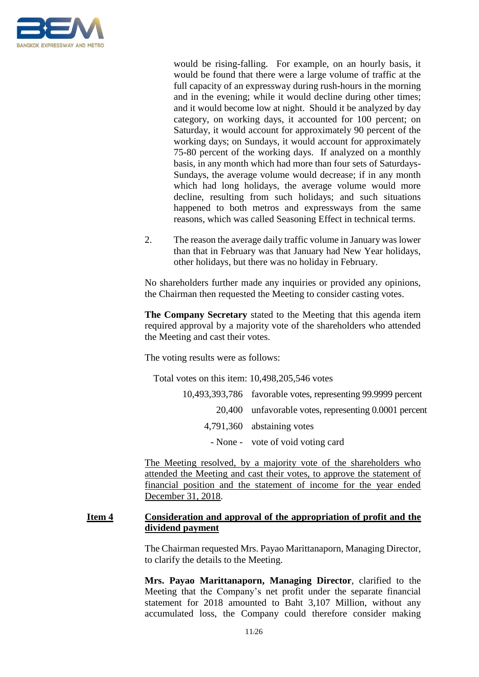

would be rising-falling. For example, on an hourly basis, it would be found that there were a large volume of traffic at the full capacity of an expressway during rush-hours in the morning and in the evening; while it would decline during other times; and it would become low at night. Should it be analyzed by day category, on working days, it accounted for 100 percent; on Saturday, it would account for approximately 90 percent of the working days; on Sundays, it would account for approximately 75-80 percent of the working days. If analyzed on a monthly basis, in any month which had more than four sets of Saturdays-Sundays, the average volume would decrease; if in any month which had long holidays, the average volume would more decline, resulting from such holidays; and such situations happened to both metros and expressways from the same reasons, which was called Seasoning Effect in technical terms.

2. The reason the average daily traffic volume in January was lower than that in February was that January had New Year holidays, other holidays, but there was no holiday in February.

No shareholders further made any inquiries or provided any opinions, the Chairman then requested the Meeting to consider casting votes.

**The Company Secretary** stated to the Meeting that this agenda item required approval by a majority vote of the shareholders who attended the Meeting and cast their votes.

The voting results were as follows:

Total votes on this item: 10,498,205,546 votes

| 10,493,393,786 favorable votes, representing 99.9999 percent |
|--------------------------------------------------------------|
| 20,400 unfavorable votes, representing 0.0001 percent        |
| 4,791,360 abstaining votes                                   |
| - None - vote of void voting card                            |

The Meeting resolved, by a majority vote of the shareholders who attended the Meeting and cast their votes, to approve the statement of financial position and the statement of income for the year ended December 31, 2018.

## **Item 4 Consideration and approval of the appropriation of profit and the dividend payment**

The Chairman requested Mrs. Payao Marittanaporn, Managing Director, to clarify the details to the Meeting.

**Mrs. Payao Marittanaporn, Managing Director**, clarified to the Meeting that the Company's net profit under the separate financial statement for 2018 amounted to Baht 3,107 Million, without any accumulated loss, the Company could therefore consider making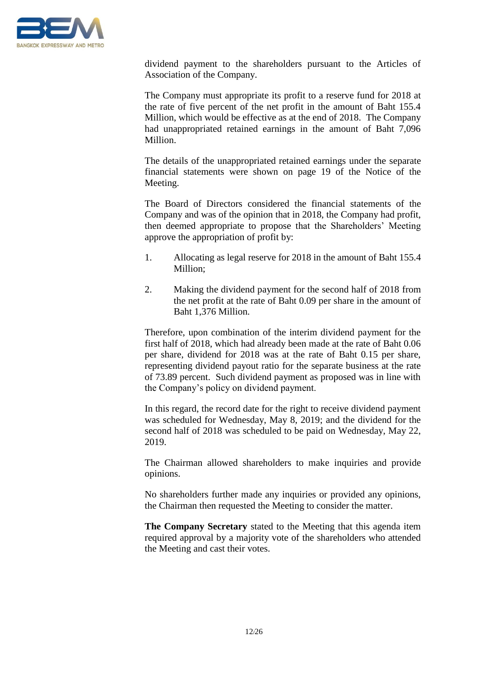

dividend payment to the shareholders pursuant to the Articles of Association of the Company.

The Company must appropriate its profit to a reserve fund for 2018 at the rate of five percent of the net profit in the amount of Baht 155.4 Million, which would be effective as at the end of 2018. The Company had unappropriated retained earnings in the amount of Baht 7,096 Million.

The details of the unappropriated retained earnings under the separate financial statements were shown on page 19 of the Notice of the Meeting.

The Board of Directors considered the financial statements of the Company and was of the opinion that in 2018, the Company had profit, then deemed appropriate to propose that the Shareholders' Meeting approve the appropriation of profit by:

- 1. Allocating as legal reserve for 2018 in the amount of Baht 155.4 Million;
- 2. Making the dividend payment for the second half of 2018 from the net profit at the rate of Baht 0.09 per share in the amount of Baht 1,376 Million.

Therefore, upon combination of the interim dividend payment for the first half of 2018, which had already been made at the rate of Baht 0.06 per share, dividend for 2018 was at the rate of Baht 0.15 per share, representing dividend payout ratio for the separate business at the rate of 73.89 percent. Such dividend payment as proposed was in line with the Company's policy on dividend payment.

In this regard, the record date for the right to receive dividend payment was scheduled for Wednesday, May 8, 2019; and the dividend for the second half of 2018 was scheduled to be paid on Wednesday, May 22, 2019.

The Chairman allowed shareholders to make inquiries and provide opinions.

No shareholders further made any inquiries or provided any opinions, the Chairman then requested the Meeting to consider the matter.

**The Company Secretary** stated to the Meeting that this agenda item required approval by a majority vote of the shareholders who attended the Meeting and cast their votes.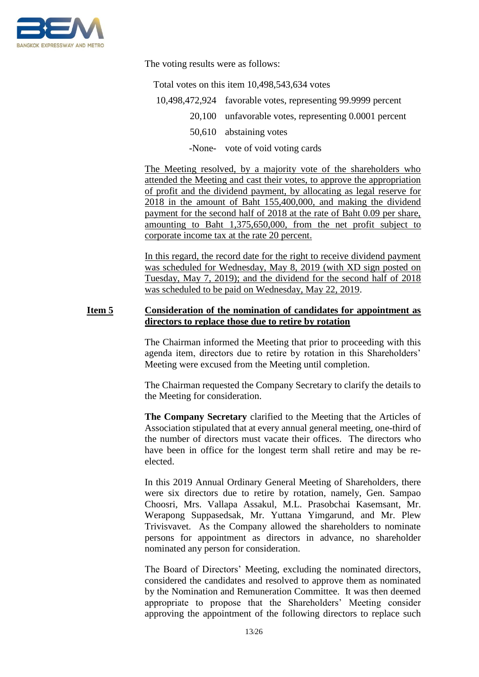

The voting results were as follows:

Total votes on this item 10,498,543,634 votes

- 10,498,472,924 favorable votes, representing 99.9999 percent
	- 20,100 unfavorable votes, representing 0.0001 percent
		- 50,610 abstaining votes
		- -None- vote of void voting cards

The Meeting resolved, by a majority vote of the shareholders who attended the Meeting and cast their votes, to approve the appropriation of profit and the dividend payment, by allocating as legal reserve for 2018 in the amount of Baht 155,400,000, and making the dividend payment for the second half of 2018 at the rate of Baht 0.09 per share, amounting to Baht 1,375,650,000, from the net profit subject to corporate income tax at the rate 20 percent.

In this regard, the record date for the right to receive dividend payment was scheduled for Wednesday, May 8, 2019 (with XD sign posted on Tuesday, May 7, 2019); and the dividend for the second half of 2018 was scheduled to be paid on Wednesday, May 22, 2019.

#### **Item 5 Consideration of the nomination of candidates for appointment as directors to replace those due to retire by rotation**

The Chairman informed the Meeting that prior to proceeding with this agenda item, directors due to retire by rotation in this Shareholders' Meeting were excused from the Meeting until completion.

The Chairman requested the Company Secretary to clarify the details to the Meeting for consideration.

**The Company Secretary** clarified to the Meeting that the Articles of Association stipulated that at every annual general meeting, one-third of the number of directors must vacate their offices. The directors who have been in office for the longest term shall retire and may be reelected.

In this 2019 Annual Ordinary General Meeting of Shareholders, there were six directors due to retire by rotation, namely, Gen. Sampao Choosri, Mrs. Vallapa Assakul, M.L. Prasobchai Kasemsant, Mr. Werapong Suppasedsak, Mr. Yuttana Yimgarund, and Mr. Plew Trivisvavet. As the Company allowed the shareholders to nominate persons for appointment as directors in advance, no shareholder nominated any person for consideration.

The Board of Directors' Meeting, excluding the nominated directors, considered the candidates and resolved to approve them as nominated by the Nomination and Remuneration Committee. It was then deemed appropriate to propose that the Shareholders' Meeting consider approving the appointment of the following directors to replace such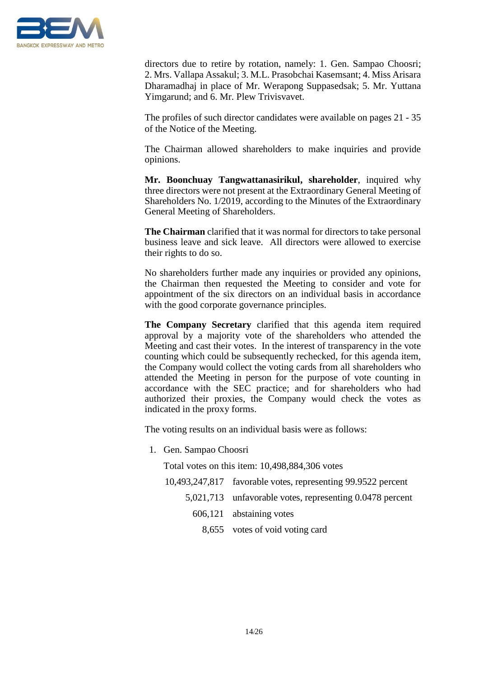

directors due to retire by rotation, namely: 1. Gen. Sampao Choosri; 2. Mrs. Vallapa Assakul; 3. M.L. Prasobchai Kasemsant; 4. Miss Arisara Dharamadhaj in place of Mr. Werapong Suppasedsak; 5. Mr. Yuttana Yimgarund; and 6. Mr. Plew Trivisvavet.

The profiles of such director candidates were available on pages 21 - 35 of the Notice of the Meeting.

The Chairman allowed shareholders to make inquiries and provide opinions.

**Mr. Boonchuay Tangwattanasirikul, shareholder**, inquired why three directors were not present at the Extraordinary General Meeting of Shareholders No. 1/2019, according to the Minutes of the Extraordinary General Meeting of Shareholders.

**The Chairman** clarified that it was normal for directors to take personal business leave and sick leave. All directors were allowed to exercise their rights to do so.

No shareholders further made any inquiries or provided any opinions, the Chairman then requested the Meeting to consider and vote for appointment of the six directors on an individual basis in accordance with the good corporate governance principles.

**The Company Secretary** clarified that this agenda item required approval by a majority vote of the shareholders who attended the Meeting and cast their votes. In the interest of transparency in the vote counting which could be subsequently rechecked, for this agenda item, the Company would collect the voting cards from all shareholders who attended the Meeting in person for the purpose of vote counting in accordance with the SEC practice; and for shareholders who had authorized their proxies, the Company would check the votes as indicated in the proxy forms.

The voting results on an individual basis were as follows:

1. Gen. Sampao Choosri

Total votes on this item: 10,498,884,306 votes

- 10,493,247,817 favorable votes, representing 99.9522 percent
	- 5,021,713 unfavorable votes, representing 0.0478 percent
		- 606,121 abstaining votes
			- 8,655 votes of void voting card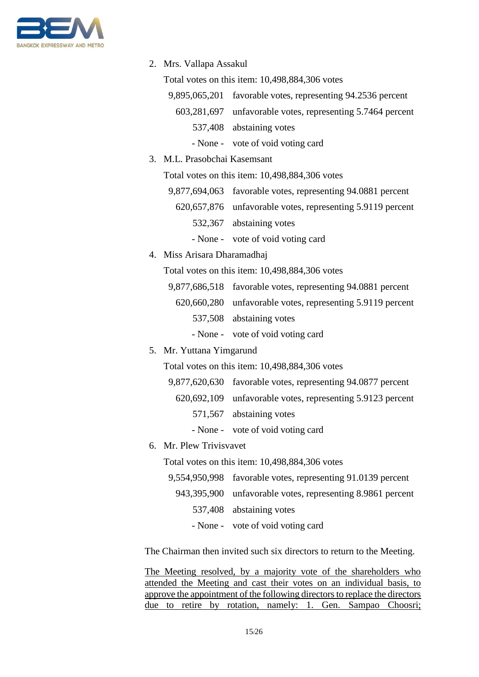

2. Mrs. Vallapa Assakul

Total votes on this item: 10,498,884,306 votes

- 9,895,065,201 favorable votes, representing 94.2536 percent
	- 603,281,697 unfavorable votes, representing 5.7464 percent
		- 537,408 abstaining votes
		- None vote of void voting card
- 3. M.L. Prasobchai Kasemsant

Total votes on this item: 10,498,884,306 votes

- 9,877,694,063 favorable votes, representing 94.0881 percent 620,657,876 unfavorable votes, representing 5.9119 percent 532,367 abstaining votes
	- None vote of void voting card
- 4. Miss Arisara Dharamadhaj

Total votes on this item: 10,498,884,306 votes

- 9,877,686,518 favorable votes, representing 94.0881 percent
	- 620,660,280 unfavorable votes, representing 5.9119 percent 537,508 abstaining votes
		- None vote of void voting card

## 5. Mr. Yuttana Yimgarund

Total votes on this item: 10,498,884,306 votes

- 9,877,620,630 favorable votes, representing 94.0877 percent
- 620,692,109 unfavorable votes, representing 5.9123 percent
	- 571,567 abstaining votes
	- None vote of void voting card
- 6. Mr. Plew Trivisvavet

Total votes on this item: 10,498,884,306 votes

- 9,554,950,998 favorable votes, representing 91.0139 percent 943,395,900 unfavorable votes, representing 8.9861 percent 537,408 abstaining votes
	- None vote of void voting card

The Chairman then invited such six directors to return to the Meeting.

The Meeting resolved, by a majority vote of the shareholders who attended the Meeting and cast their votes on an individual basis, to approve the appointment of the following directors to replace the directors due to retire by rotation, namely: 1. Gen. Sampao Choosri;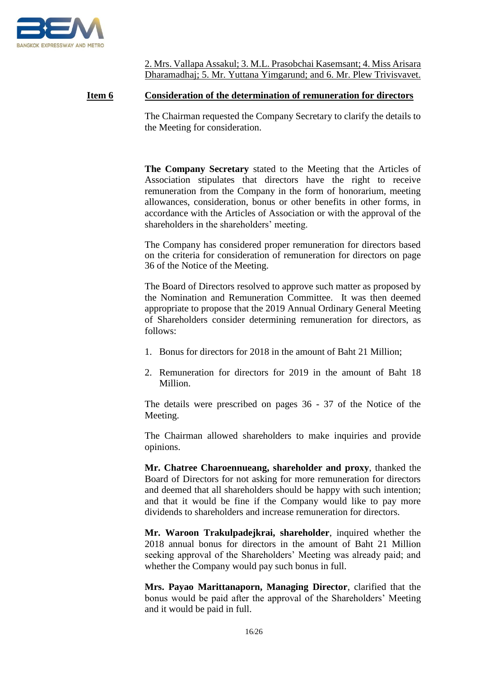

2. Mrs. Vallapa Assakul; 3. M.L. Prasobchai Kasemsant; 4. Miss Arisara Dharamadhaj; 5. Mr. Yuttana Yimgarund; and 6. Mr. Plew Trivisvavet.

#### **Item 6 Consideration of the determination of remuneration for directors**

The Chairman requested the Company Secretary to clarify the details to the Meeting for consideration.

**The Company Secretary** stated to the Meeting that the Articles of Association stipulates that directors have the right to receive remuneration from the Company in the form of honorarium, meeting allowances, consideration, bonus or other benefits in other forms, in accordance with the Articles of Association or with the approval of the shareholders in the shareholders' meeting.

The Company has considered proper remuneration for directors based on the criteria for consideration of remuneration for directors on page 36 of the Notice of the Meeting.

The Board of Directors resolved to approve such matter as proposed by the Nomination and Remuneration Committee. It was then deemed appropriate to propose that the 2019 Annual Ordinary General Meeting of Shareholders consider determining remuneration for directors, as follows:

- 1. Bonus for directors for 2018 in the amount of Baht 21 Million;
- 2. Remuneration for directors for 2019 in the amount of Baht 18 Million.

The details were prescribed on pages 36 - 37 of the Notice of the Meeting.

The Chairman allowed shareholders to make inquiries and provide opinions.

**Mr. Chatree Charoennueang, shareholder and proxy**, thanked the Board of Directors for not asking for more remuneration for directors and deemed that all shareholders should be happy with such intention; and that it would be fine if the Company would like to pay more dividends to shareholders and increase remuneration for directors.

**Mr. Waroon Trakulpadejkrai, shareholder**, inquired whether the 2018 annual bonus for directors in the amount of Baht 21 Million seeking approval of the Shareholders' Meeting was already paid; and whether the Company would pay such bonus in full.

**Mrs. Payao Marittanaporn, Managing Director**, clarified that the bonus would be paid after the approval of the Shareholders' Meeting and it would be paid in full.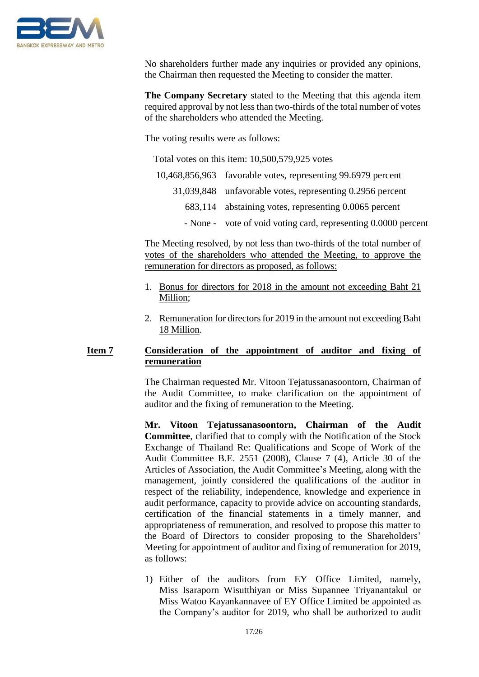

No shareholders further made any inquiries or provided any opinions, the Chairman then requested the Meeting to consider the matter.

**The Company Secretary** stated to the Meeting that this agenda item required approval by not less than two-thirds of the total number of votes of the shareholders who attended the Meeting.

The voting results were as follows:

Total votes on this item: 10,500,579,925 votes

| 10,468,856,963 favorable votes, representing 99.6979 percent   |
|----------------------------------------------------------------|
| 31,039,848 unfavorable votes, representing 0.2956 percent      |
| 683,114 abstaining votes, representing 0.0065 percent          |
| - None - vote of void voting card, representing 0.0000 percent |

The Meeting resolved, by not less than two-thirds of the total number of votes of the shareholders who attended the Meeting, to approve the remuneration for directors as proposed, as follows:

- 1. Bonus for directors for 2018 in the amount not exceeding Baht 21 Million;
- 2. Remuneration for directors for 2019 in the amount not exceeding Baht 18 Million.

## **Item 7 Consideration of the appointment of auditor and fixing of remuneration**

The Chairman requested Mr. Vitoon Tejatussanasoontorn, Chairman of the Audit Committee, to make clarification on the appointment of auditor and the fixing of remuneration to the Meeting.

**Mr. Vitoon Tejatussanasoontorn, Chairman of the Audit Committee**, clarified that to comply with the Notification of the Stock Exchange of Thailand Re: Qualifications and Scope of Work of the Audit Committee B.E. 2551 (2008), Clause 7 (4), Article 30 of the Articles of Association, the Audit Committee's Meeting, along with the management, jointly considered the qualifications of the auditor in respect of the reliability, independence, knowledge and experience in audit performance, capacity to provide advice on accounting standards, certification of the financial statements in a timely manner, and appropriateness of remuneration, and resolved to propose this matter to the Board of Directors to consider proposing to the Shareholders' Meeting for appointment of auditor and fixing of remuneration for 2019, as follows:

1) Either of the auditors from EY Office Limited, namely, Miss Isaraporn Wisutthiyan or Miss Supannee Triyanantakul or Miss Watoo Kayankannavee of EY Office Limited be appointed as the Company's auditor for 2019, who shall be authorized to audit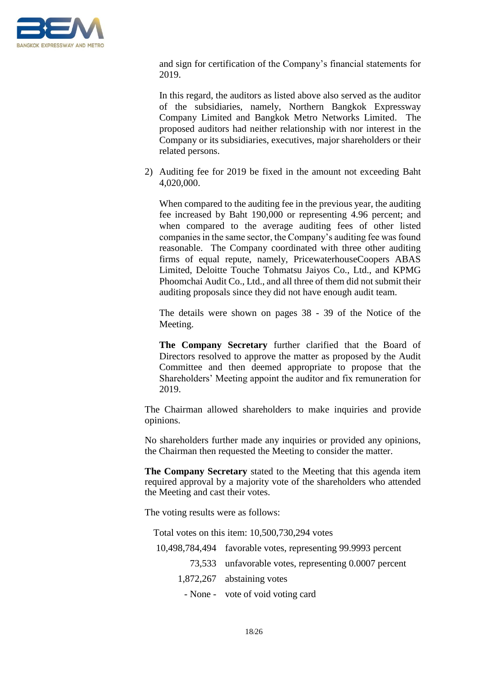

and sign for certification of the Company's financial statements for 2019.

In this regard, the auditors as listed above also served as the auditor of the subsidiaries, namely, Northern Bangkok Expressway Company Limited and Bangkok Metro Networks Limited. The proposed auditors had neither relationship with nor interest in the Company or its subsidiaries, executives, major shareholders or their related persons.

2) Auditing fee for 2019 be fixed in the amount not exceeding Baht 4,020,000.

When compared to the auditing fee in the previous year, the auditing fee increased by Baht 190,000 or representing 4.96 percent; and when compared to the average auditing fees of other listed companies in the same sector, the Company's auditing fee was found reasonable. The Company coordinated with three other auditing firms of equal repute, namely, PricewaterhouseCoopers ABAS Limited, Deloitte Touche Tohmatsu Jaiyos Co., Ltd., and KPMG Phoomchai Audit Co., Ltd., and all three of them did not submit their auditing proposals since they did not have enough audit team.

The details were shown on pages 38 - 39 of the Notice of the Meeting.

**The Company Secretary** further clarified that the Board of Directors resolved to approve the matter as proposed by the Audit Committee and then deemed appropriate to propose that the Shareholders' Meeting appoint the auditor and fix remuneration for 2019.

The Chairman allowed shareholders to make inquiries and provide opinions.

No shareholders further made any inquiries or provided any opinions, the Chairman then requested the Meeting to consider the matter.

**The Company Secretary** stated to the Meeting that this agenda item required approval by a majority vote of the shareholders who attended the Meeting and cast their votes.

The voting results were as follows:

| Total votes on this item: 10,500,730,294 votes |                                                              |  |  |
|------------------------------------------------|--------------------------------------------------------------|--|--|
|                                                | 10,498,784,494 favorable votes, representing 99.9993 percent |  |  |
|                                                | 73,533 unfavorable votes, representing 0.0007 percent        |  |  |
|                                                | 1,872,267 abstaining votes                                   |  |  |
|                                                | - None - vote of void voting card                            |  |  |
|                                                |                                                              |  |  |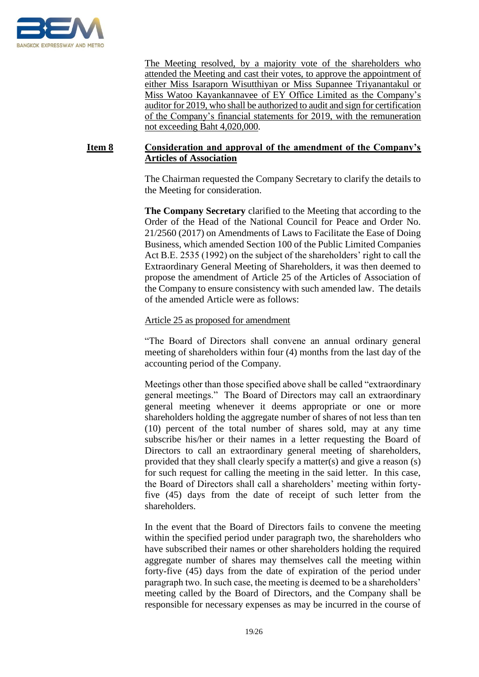

The Meeting resolved, by a majority vote of the shareholders who attended the Meeting and cast their votes, to approve the appointment of either Miss Isaraporn Wisutthiyan or Miss Supannee Triyanantakul or Miss Watoo Kayankannavee of EY Office Limited as the Company's auditor for 2019, who shall be authorized to audit and sign for certification of the Company's financial statements for 2019, with the remuneration not exceeding Baht 4,020,000.

## **Item 8 Consideration and approval of the amendment of the Company's Articles of Association**

The Chairman requested the Company Secretary to clarify the details to the Meeting for consideration.

**The Company Secretary** clarified to the Meeting that according to the Order of the Head of the National Council for Peace and Order No. 21/2560 (2017) on Amendments of Laws to Facilitate the Ease of Doing Business, which amended Section 100 of the Public Limited Companies Act B.E. 2535 (1992) on the subject of the shareholders' right to call the Extraordinary General Meeting of Shareholders, it was then deemed to propose the amendment of Article 25 of the Articles of Association of the Company to ensure consistency with such amended law. The details of the amended Article were as follows:

#### Article 25 as proposed for amendment

"The Board of Directors shall convene an annual ordinary general meeting of shareholders within four (4) months from the last day of the accounting period of the Company.

Meetings other than those specified above shall be called "extraordinary general meetings." The Board of Directors may call an extraordinary general meeting whenever it deems appropriate or one or more shareholders holding the aggregate number of shares of not less than ten (10) percent of the total number of shares sold, may at any time subscribe his/her or their names in a letter requesting the Board of Directors to call an extraordinary general meeting of shareholders, provided that they shall clearly specify a matter(s) and give a reason (s) for such request for calling the meeting in the said letter. In this case, the Board of Directors shall call a shareholders' meeting within fortyfive (45) days from the date of receipt of such letter from the shareholders.

In the event that the Board of Directors fails to convene the meeting within the specified period under paragraph two, the shareholders who have subscribed their names or other shareholders holding the required aggregate number of shares may themselves call the meeting within forty-five (45) days from the date of expiration of the period under paragraph two. In such case, the meeting is deemed to be a shareholders' meeting called by the Board of Directors, and the Company shall be responsible for necessary expenses as may be incurred in the course of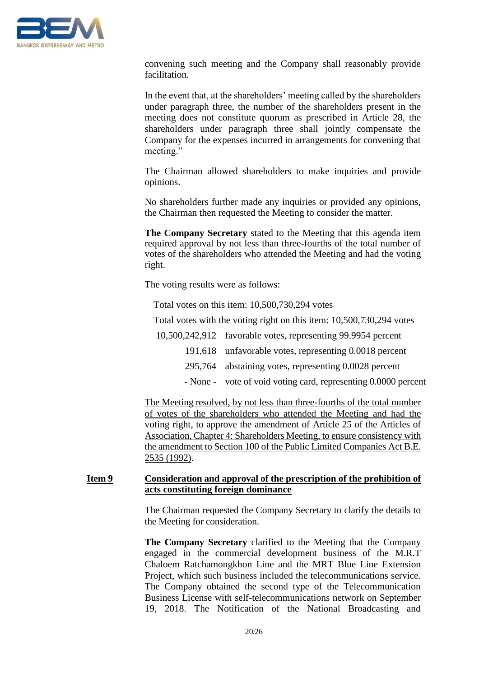

convening such meeting and the Company shall reasonably provide facilitation.

In the event that, at the shareholders' meeting called by the shareholders under paragraph three, the number of the shareholders present in the meeting does not constitute quorum as prescribed in Article 28, the shareholders under paragraph three shall jointly compensate the Company for the expenses incurred in arrangements for convening that meeting."

The Chairman allowed shareholders to make inquiries and provide opinions.

No shareholders further made any inquiries or provided any opinions, the Chairman then requested the Meeting to consider the matter.

**The Company Secretary** stated to the Meeting that this agenda item required approval by not less than three-fourths of the total number of votes of the shareholders who attended the Meeting and had the voting right.

The voting results were as follows:

Total votes on this item: 10,500,730,294 votes

Total votes with the voting right on this item: 10,500,730,294 votes

10,500,242,912 favorable votes, representing 99.9954 percent

191,618 unfavorable votes, representing 0.0018 percent

- 295,764 abstaining votes, representing 0.0028 percent
- None vote of void voting card, representing 0.0000 percent

The Meeting resolved, by not less than three-fourths of the total number of votes of the shareholders who attended the Meeting and had the voting right, to approve the amendment of Article 25 of the Articles of Association, Chapter 4: Shareholders Meeting, to ensure consistency with the amendment to Section 100 of the Public Limited Companies Act B.E. 2535 (1992).

#### **Item 9 Consideration and approval of the prescription of the prohibition of acts constituting foreign dominance**

The Chairman requested the Company Secretary to clarify the details to the Meeting for consideration.

**The Company Secretary** clarified to the Meeting that the Company engaged in the commercial development business of the M.R.T Chaloem Ratchamongkhon Line and the MRT Blue Line Extension Project, which such business included the telecommunications service. The Company obtained the second type of the Telecommunication Business License with self-telecommunications network on September 19, 2018. The Notification of the National Broadcasting and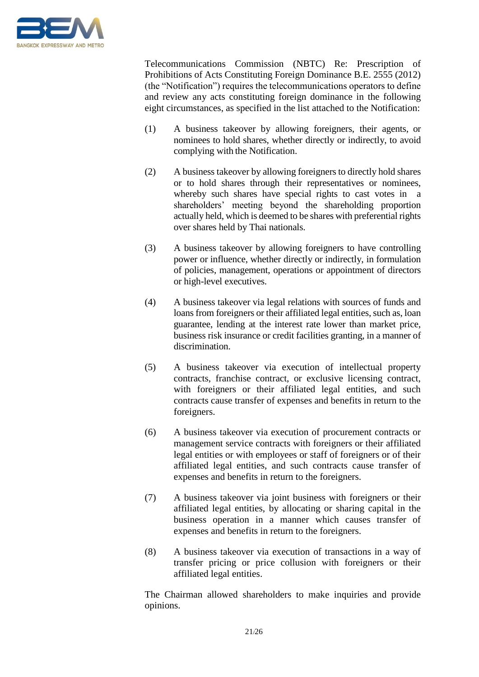

Telecommunications Commission (NBTC) Re: Prescription of Prohibitions of Acts Constituting Foreign Dominance B.E. 2555 (2012) (the "Notification") requires the telecommunications operators to define and review any acts constituting foreign dominance in the following eight circumstances, as specified in the list attached to the Notification:

- (1) A business takeover by allowing foreigners, their agents, or nominees to hold shares, whether directly or indirectly, to avoid complying with the Notification.
- (2) A business takeover by allowing foreigners to directly hold shares or to hold shares through their representatives or nominees, whereby such shares have special rights to cast votes in a shareholders' meeting beyond the shareholding proportion actually held, which is deemed to be shares with preferential rights over shares held by Thai nationals.
- (3) A business takeover by allowing foreigners to have controlling power or influence, whether directly or indirectly, in formulation of policies, management, operations or appointment of directors or high-level executives.
- (4) A business takeover via legal relations with sources of funds and loans from foreigners or their affiliated legal entities, such as, loan guarantee, lending at the interest rate lower than market price, business risk insurance or credit facilities granting, in a manner of discrimination.
- (5) A business takeover via execution of intellectual property contracts, franchise contract, or exclusive licensing contract, with foreigners or their affiliated legal entities, and such contracts cause transfer of expenses and benefits in return to the foreigners.
- (6) A business takeover via execution of procurement contracts or management service contracts with foreigners or their affiliated legal entities or with employees or staff of foreigners or of their affiliated legal entities, and such contracts cause transfer of expenses and benefits in return to the foreigners.
- (7) A business takeover via joint business with foreigners or their affiliated legal entities, by allocating or sharing capital in the business operation in a manner which causes transfer of expenses and benefits in return to the foreigners.
- (8) A business takeover via execution of transactions in a way of transfer pricing or price collusion with foreigners or their affiliated legal entities.

The Chairman allowed shareholders to make inquiries and provide opinions.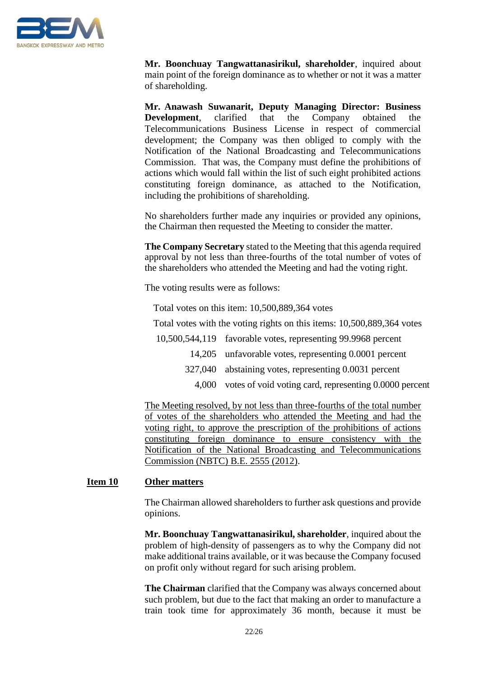

**Mr. Boonchuay Tangwattanasirikul, shareholder**, inquired about main point of the foreign dominance as to whether or not it was a matter of shareholding.

**Mr. Anawash Suwanarit, Deputy Managing Director: Business Development**, clarified that the Company obtained the Telecommunications Business License in respect of commercial development; the Company was then obliged to comply with the Notification of the National Broadcasting and Telecommunications Commission. That was, the Company must define the prohibitions of actions which would fall within the list of such eight prohibited actions constituting foreign dominance, as attached to the Notification, including the prohibitions of shareholding.

No shareholders further made any inquiries or provided any opinions, the Chairman then requested the Meeting to consider the matter.

**The Company Secretary** stated to the Meeting that this agenda required approval by not less than three-fourths of the total number of votes of the shareholders who attended the Meeting and had the voting right.

The voting results were as follows:

Total votes on this item: 10,500,889,364 votes

Total votes with the voting rights on this items: 10,500,889,364 votes

10,500,544,119 favorable votes, representing 99.9968 percent

- 14,205 unfavorable votes, representing 0.0001 percent
- 327,040 abstaining votes, representing 0.0031 percent
	- 4,000 votes of void voting card, representing 0.0000 percent

The Meeting resolved, by not less than three-fourths of the total number of votes of the shareholders who attended the Meeting and had the voting right, to approve the prescription of the prohibitions of actions constituting foreign dominance to ensure consistency with the Notification of the National Broadcasting and Telecommunications Commission (NBTC) B.E. 2555 (2012).

#### **Item 10 Other matters**

The Chairman allowed shareholders to further ask questions and provide opinions.

**Mr. Boonchuay Tangwattanasirikul, shareholder**, inquired about the problem of high-density of passengers as to why the Company did not make additional trains available, or it was because the Company focused on profit only without regard for such arising problem.

**The Chairman** clarified that the Company was always concerned about such problem, but due to the fact that making an order to manufacture a train took time for approximately 36 month, because it must be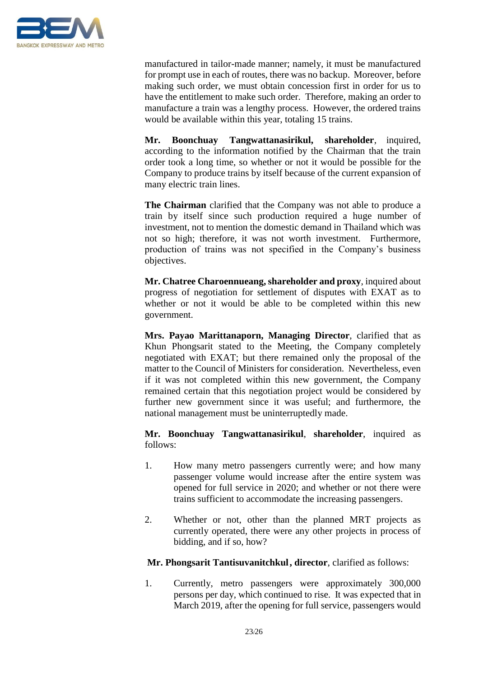

manufactured in tailor-made manner; namely, it must be manufactured for prompt use in each of routes, there was no backup. Moreover, before making such order, we must obtain concession first in order for us to have the entitlement to make such order. Therefore, making an order to manufacture a train was a lengthy process. However, the ordered trains would be available within this year, totaling 15 trains.

**Mr. Boonchuay Tangwattanasirikul, shareholder**, inquired, according to the information notified by the Chairman that the train order took a long time, so whether or not it would be possible for the Company to produce trains by itself because of the current expansion of many electric train lines.

**The Chairman** clarified that the Company was not able to produce a train by itself since such production required a huge number of investment, not to mention the domestic demand in Thailand which was not so high; therefore, it was not worth investment. Furthermore, production of trains was not specified in the Company's business objectives.

**Mr. Chatree Charoennueang, shareholder and proxy**, inquired about progress of negotiation for settlement of disputes with EXAT as to whether or not it would be able to be completed within this new government.

**Mrs. Payao Marittanaporn, Managing Director**, clarified that as Khun Phongsarit stated to the Meeting, the Company completely negotiated with EXAT; but there remained only the proposal of the matter to the Council of Ministers for consideration. Nevertheless, even if it was not completed within this new government, the Company remained certain that this negotiation project would be considered by further new government since it was useful; and furthermore, the national management must be uninterruptedly made.

**Mr. Boonchuay Tangwattanasirikul**, **shareholder**, inquired as follows:

- 1. How many metro passengers currently were; and how many passenger volume would increase after the entire system was opened for full service in 2020; and whether or not there were trains sufficient to accommodate the increasing passengers.
- 2. Whether or not, other than the planned MRT projects as currently operated, there were any other projects in process of bidding, and if so, how?

## **Mr. Phongsarit Tantisuvanitchkul, director**, clarified as follows:

1. Currently, metro passengers were approximately 300,000 persons per day, which continued to rise. It was expected that in March 2019, after the opening for full service, passengers would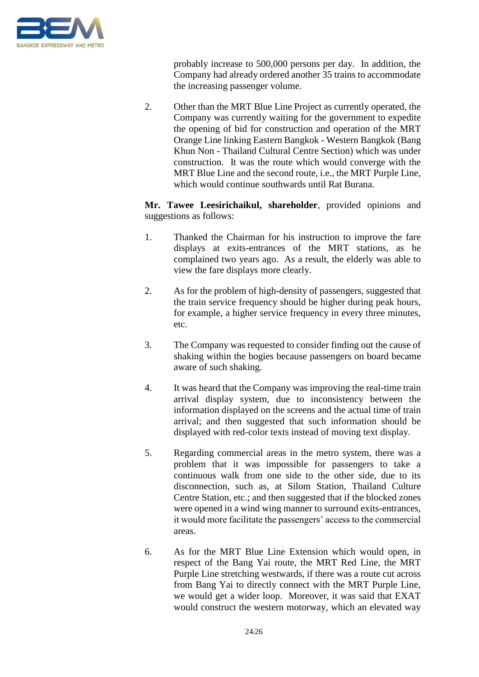

probably increase to 500,000 persons per day. In addition, the Company had already ordered another 35 trains to accommodate the increasing passenger volume.

2. Other than the MRT Blue Line Project as currently operated, the Company was currently waiting for the government to expedite the opening of bid for construction and operation of the MRT Orange Line linking Eastern Bangkok - Western Bangkok (Bang Khun Non - Thailand Cultural Centre Section) which was under construction. It was the route which would converge with the MRT Blue Line and the second route, i.e., the MRT Purple Line, which would continue southwards until Rat Burana.

**Mr. Tawee Leesirichaikul, shareholder**, provided opinions and suggestions as follows:

- 1. Thanked the Chairman for his instruction to improve the fare displays at exits-entrances of the MRT stations, as he complained two years ago. As a result, the elderly was able to view the fare displays more clearly.
- 2. As for the problem of high-density of passengers, suggested that the train service frequency should be higher during peak hours, for example, a higher service frequency in every three minutes, etc.
- 3. The Company was requested to consider finding out the cause of shaking within the bogies because passengers on board became aware of such shaking.
- 4. It was heard that the Company was improving the real-time train arrival display system, due to inconsistency between the information displayed on the screens and the actual time of train arrival; and then suggested that such information should be displayed with red-color texts instead of moving text display.
- 5. Regarding commercial areas in the metro system, there was a problem that it was impossible for passengers to take a continuous walk from one side to the other side, due to its disconnection, such as, at Silom Station, Thailand Culture Centre Station, etc.; and then suggested that if the blocked zones were opened in a wind wing manner to surround exits-entrances, it would more facilitate the passengers' access to the commercial areas.
- 6. As for the MRT Blue Line Extension which would open, in respect of the Bang Yai route, the MRT Red Line, the MRT Purple Line stretching westwards, if there was a route cut across from Bang Yai to directly connect with the MRT Purple Line, we would get a wider loop. Moreover, it was said that EXAT would construct the western motorway, which an elevated way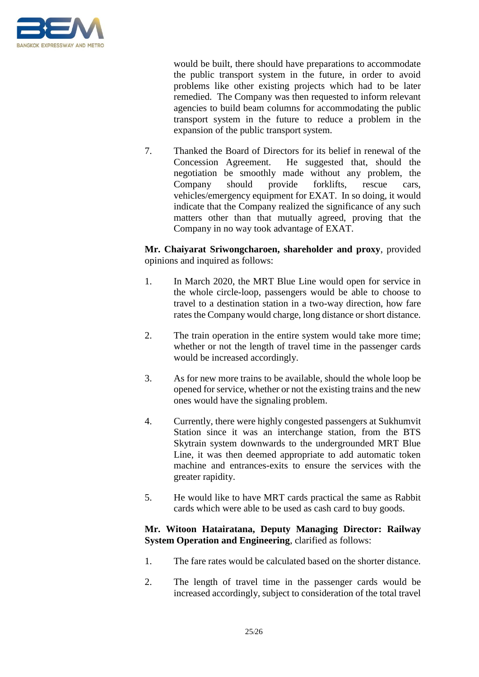

would be built, there should have preparations to accommodate the public transport system in the future, in order to avoid problems like other existing projects which had to be later remedied. The Company was then requested to inform relevant agencies to build beam columns for accommodating the public transport system in the future to reduce a problem in the expansion of the public transport system.

7. Thanked the Board of Directors for its belief in renewal of the Concession Agreement. He suggested that, should the negotiation be smoothly made without any problem, the Company should provide forklifts, rescue cars, vehicles/emergency equipment for EXAT. In so doing, it would indicate that the Company realized the significance of any such matters other than that mutually agreed, proving that the Company in no way took advantage of EXAT.

**Mr. Chaiyarat Sriwongcharoen, shareholder and proxy**, provided opinions and inquired as follows:

- 1. In March 2020, the MRT Blue Line would open for service in the whole circle-loop, passengers would be able to choose to travel to a destination station in a two-way direction, how fare rates the Company would charge, long distance or short distance.
- 2. The train operation in the entire system would take more time; whether or not the length of travel time in the passenger cards would be increased accordingly.
- 3. As for new more trains to be available, should the whole loop be opened for service, whether or not the existing trains and the new ones would have the signaling problem.
- 4. Currently, there were highly congested passengers at Sukhumvit Station since it was an interchange station, from the BTS Skytrain system downwards to the undergrounded MRT Blue Line, it was then deemed appropriate to add automatic token machine and entrances-exits to ensure the services with the greater rapidity.
- 5. He would like to have MRT cards practical the same as Rabbit cards which were able to be used as cash card to buy goods.

## **Mr. Witoon Hatairatana, Deputy Managing Director: Railway System Operation and Engineering**, clarified as follows:

- 1. The fare rates would be calculated based on the shorter distance.
- 2. The length of travel time in the passenger cards would be increased accordingly, subject to consideration of the total travel